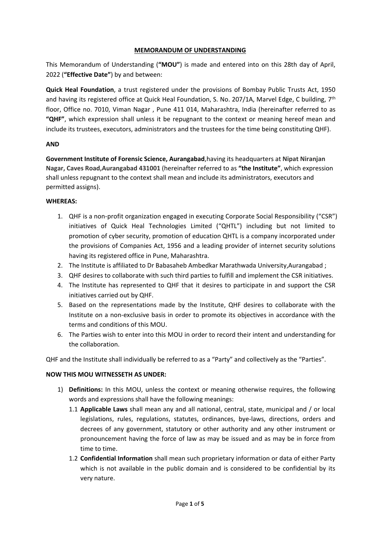#### **MEMORANDUM OF UNDERSTANDING**

This Memorandum of Understanding (**"MOU"**) is made and entered into on this 28th day of April, 2022 (**"Effective Date"**) by and between:

**Quick Heal Foundation**, a trust registered under the provisions of Bombay Public Trusts Act, 1950 and having its registered office at Quick Heal Foundation, S. No. 207/1A, Marvel Edge, C building, 7<sup>th</sup> floor, Office no. 7010, Viman Nagar , Pune 411 014, Maharashtra, India (hereinafter referred to as **"QHF"**, which expression shall unless it be repugnant to the context or meaning hereof mean and include its trustees, executors, administrators and the trustees for the time being constituting QHF).

## **AND**

**Government Institute of Forensic Science, Aurangabad**,having its headquarters at **Nipat Niranjan Nagar, Caves Road,Aurangabad 431001** (hereinafter referred to as **"the Institute"**, which expression shall unless repugnant to the context shall mean and include its administrators, executors and permitted assigns).

## **WHEREAS:**

- 1. QHF is a non-profit organization engaged in executing Corporate Social Responsibility ("CSR") initiatives of Quick Heal Technologies Limited ("QHTL") including but not limited to promotion of cyber security, promotion of education QHTL is a company incorporated under the provisions of Companies Act, 1956 and a leading provider of internet security solutions having its registered office in Pune, Maharashtra.
- 2. The Institute is affiliated to Dr Babasaheb Ambedkar Marathwada University,Aurangabad ;
- 3. QHF desires to collaborate with such third parties to fulfill and implement the CSR initiatives.
- 4. The Institute has represented to QHF that it desires to participate in and support the CSR initiatives carried out by QHF.
- 5. Based on the representations made by the Institute, QHF desires to collaborate with the Institute on a non-exclusive basis in order to promote its objectives in accordance with the terms and conditions of this MOU.
- 6. The Parties wish to enter into this MOU in order to record their intent and understanding for the collaboration.

QHF and the Institute shall individually be referred to as a "Party" and collectively as the "Parties".

## **NOW THIS MOU WITNESSETH AS UNDER:**

- 1) **Definitions:** In this MOU, unless the context or meaning otherwise requires, the following words and expressions shall have the following meanings:
	- 1.1 **Applicable Laws** shall mean any and all national, central, state, municipal and / or local legislations, rules, regulations, statutes, ordinances, bye-laws, directions, orders and decrees of any government, statutory or other authority and any other instrument or pronouncement having the force of law as may be issued and as may be in force from time to time.
	- 1.2 **Confidential Information** shall mean such proprietary information or data of either Party which is not available in the public domain and is considered to be confidential by its very nature.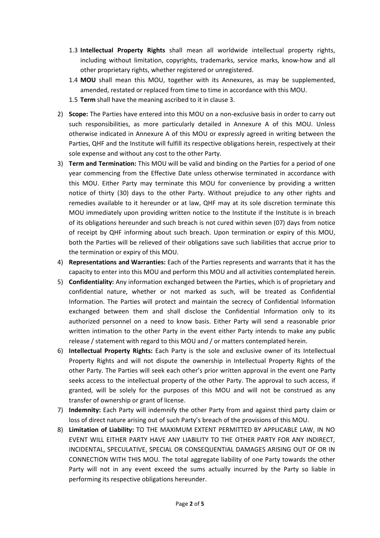- 1.3 **Intellectual Property Rights** shall mean all worldwide intellectual property rights, including without limitation, copyrights, trademarks, service marks, know-how and all other proprietary rights, whether registered or unregistered.
- 1.4 **MOU** shall mean this MOU, together with its Annexures, as may be supplemented, amended, restated or replaced from time to time in accordance with this MOU.
- 1.5 **Term** shall have the meaning ascribed to it in clause 3.
- 2) **Scope:** The Parties have entered into this MOU on a non-exclusive basis in order to carry out such responsibilities, as more particularly detailed in Annexure A of this MOU. Unless otherwise indicated in Annexure A of this MOU or expressly agreed in writing between the Parties, QHF and the Institute will fulfill its respective obligations herein, respectively at their sole expense and without any cost to the other Party.
- 3) **Term and Termination:** This MOU will be valid and binding on the Parties for a period of one year commencing from the Effective Date unless otherwise terminated in accordance with this MOU. Either Party may terminate this MOU for convenience by providing a written notice of thirty (30) days to the other Party. Without prejudice to any other rights and remedies available to it hereunder or at law, QHF may at its sole discretion terminate this MOU immediately upon providing written notice to the Institute if the Institute is in breach of its obligations hereunder and such breach is not cured within seven (07) days from notice of receipt by QHF informing about such breach. Upon termination or expiry of this MOU, both the Parties will be relieved of their obligations save such liabilities that accrue prior to the termination or expiry of this MOU.
- 4) **Representations and Warranties:** Each of the Parties represents and warrants that it has the capacity to enter into this MOU and perform this MOU and all activities contemplated herein.
- 5) **Confidentiality:** Any information exchanged between the Parties, which is of proprietary and confidential nature, whether or not marked as such,will be treated as Confidential Information. The Parties will protect and maintain the secrecy of Confidential Information exchanged between them and shall disclose the Confidential Information only to its authorized personnel on a need to know basis. Either Party will send a reasonable prior written intimation to the other Party in the event either Party intends to make any public release / statement with regard to this MOU and / or matters contemplated herein.
- 6) **Intellectual Property Rights:** Each Party is the sole and exclusive owner of its Intellectual Property Rights and will not dispute the ownership in Intellectual Property Rights of the other Party. The Parties will seek each other's prior written approval in the event one Party seeks access to the intellectual property of the other Party. The approval to such access, if granted, will be solely for the purposes of this MOU and will notbe construed as any transfer of ownership or grant of license.
- 7) **Indemnity:** Each Party will indemnify the other Party from and against third party claim or loss of direct nature arising out of such Party's breach of the provisions of this MOU.
- 8) **Limitation of Liability:**TO THE MAXIMUM EXTENT PERMITTED BY APPLICABLE LAW, IN NO EVENT WILL EITHER PARTY HAVE ANY LIABILITY TO THE OTHER PARTY FOR ANY INDIRECT, INCIDENTAL, SPECULATIVE, SPECIAL OR CONSEQUENTIAL DAMAGES ARISING OUT OF OR IN CONNECTION WITH THIS MOU. The total aggregate liability of one Party towards the other Party will not in any event exceed the sums actually incurred by the Party so liable in performing its respective obligations hereunder.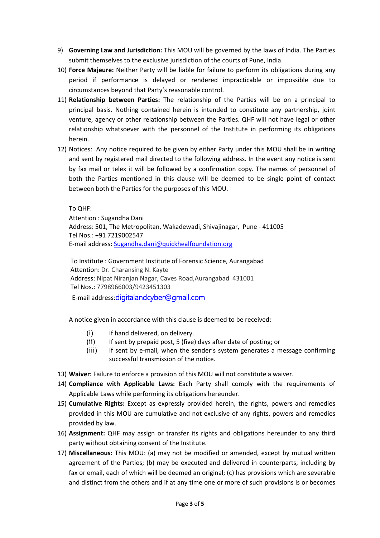- 9) **Governing Law and Jurisdiction:** This MOU will be governed by the laws of India. The Parties submit themselves to the exclusive jurisdiction of the courts of Pune, India.
- 10) **Force Majeure:** Neither Party will be liable for failure to perform its obligations during any period if performance is delayed or rendered impracticable or impossible due to circumstances beyond that Party's reasonable control.
- 11) **Relationship between Parties:** The relationship of the Parties willbe on a principal to principal basis. Nothing contained herein is intended to constitute any partnership, joint venture, agency or other relationship between the Parties. QHF will not have legal or other relationship whatsoever with the personnel of the Institute in performing its obligations herein.
- 12) Notices: Any notice required to be given by either Party under this MOU shall be in writing and sent by registered mail directed to the following address. In the event any notice is sent by fax mail or telex it will be followed by a confirmation copy. The names of personnel of both the Parties mentioned in this clause will be deemed to be single point of contact between both the Parties for the purposes of this MOU.

To QHF:

Attention : Sugandha Dani Address: 501, The Metropolitan, Wakadewadi, Shivajinagar, Pune - 411005 Tel Nos.: +91 7219002547 E-mail address: Sugandha.dani@quickhealfoundation.org

To Institute : Government Institute of Forensic Science, Aurangabad Attention: Dr. Charansing N. Kayte Address: Nipat Niranjan Nagar, Caves Road,Aurangabad 431001 Tel Nos.: 7798966003/9423451303 E-mail address:digitalandcyber@gmail.com

A notice given in accordance with this clause is deemed to be received:

- (i) If hand delivered, on delivery.
- (ii) If sent by prepaid post, 5 (five) days after date of posting; or
- (iii) If sent by e-mail, when the sender's system generates a message confirming successful transmission of the notice.
- 13) **Waiver:** Failure to enforce a provision of this MOU will not constitute a waiver.
- 14) **Compliance with Applicable Laws:** Each Party shall comply with the requirements of Applicable Laws while performing its obligations hereunder.
- 15) **Cumulative Rights:** Except as expressly provided herein, the rights, powers and remedies provided in this MOU are cumulative and not exclusive of any rights, powers and remedies provided by law.
- 16) **Assignment:** QHF may assign or transfer its rights and obligations hereunder to any third party without obtaining consent of the Institute.
- 17) **Miscellaneous:** This MOU: (a) may not be modified or amended, except by mutual written agreement of the Parties; (b) may be executed and delivered in counterparts, including by fax or email, each of which will be deemed an original; (c) has provisions which are severable and distinct from the others and if at any time one or more of such provisions is or becomes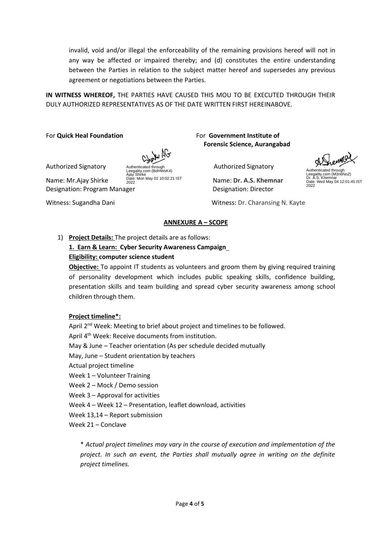invalid, void and/or illegal the enforceability of the remaining provisions hereof will not in any way be affected or impaired thereby; and (d) constitutes the entire understanding between the Parties in relation to the subject matter hereof and supersedes any previous agreement or negotiations between the Parties.

**IN WITNESS WHEREOF,** THE PARTIES HAVE CAUSED THIS MOU TO BE EXECUTED THROUGH THEIR DULY AUTHORIZED REPRESENTATIVES AS OF THE DATE WRITTEN FIRST HEREINABOVE.

For **Quick Heal Foundation** For **Government Institute of**

Authenticated through Leegality.com (BdHWsK4)

Designation: Program Manager Designation: Director Ajay Shirke Date: Mon May 02 10:02:21 IST 2022

**Forensic Science, Aurangabad**

Authorized Signatory **Authorized Authorized Signatory** Authorized Signatory

**Name: Mr.Ajay Shirke** 2022 Mon May 02 10:02:21 IST **Name: Dr. A.S. Khemnar** 

Witness: Sugandha Dani Mitness: Dr. Charansing N. Kayte

## **ANNEXURE A – SCOPE**

## 1) **Project Details:** The project details are as follows:

# **1. Earn & Learn: Cyber Security Awareness Campaign**

## **Eligibility: computer science student**

**Objective:** To appoint IT students as volunteers and groom them by giving required training of personality development which includes public speaking skills, confidence building, presentation skills and team building and spread cyber security awareness among school children through them.

## **Project timeline\*:**

April 2<sup>nd</sup> Week: Meeting to brief about project and timelines to be followed. April 4<sup>th</sup> Week: Receive documents from institution. May & June - Teacher orientation (As per schedule decided mutually May, June – Student orientation by teachers Actual project timeline Week 1 – Volunteer Training Week 2 – Mock / Demo session Week 3 – Approval for activities Week 4 – Week 12 – Presentation, leaflet download, activities Week 13,14 – Report submission Week 21 – Conclave

\* *Actual project timelines may vary in the course of execution and implementation of the project. In such an event, the Parties shall mutually agree in writing on the definite project timelines.*

Authenticated through Leegality.com (M3n6No2) Dr. A.S. Khemnar Date: Wed May 04 12:01:45 IST 2022